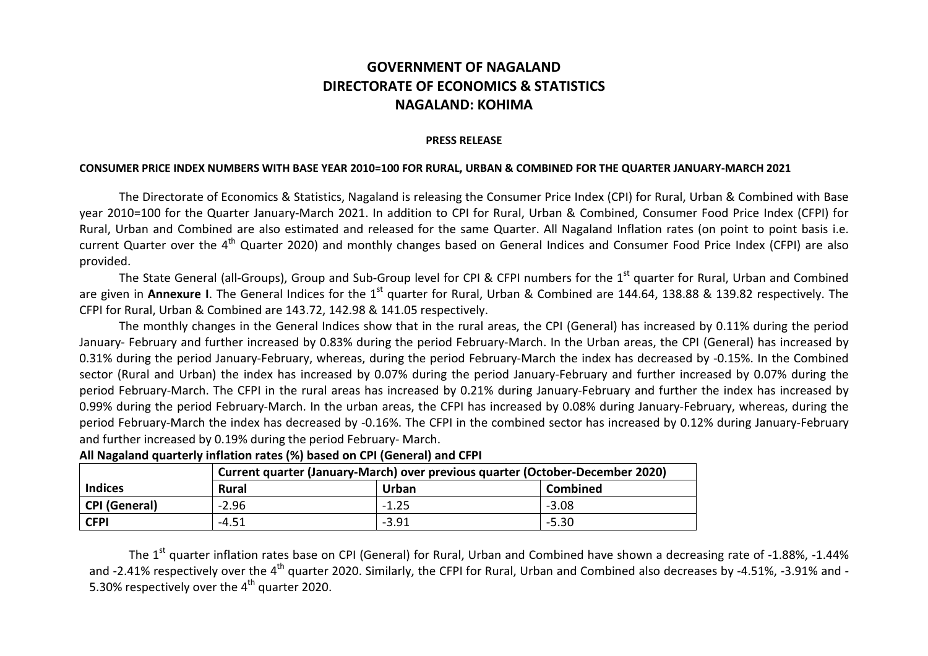## **GOVERNMENT OF NAGALAND DIRECTORATE OF ECONOMICS & STATISTICS NAGALAND: KOHIMA**

## **PRESS RELEASE**

## **CONSUMER PRICE INDEX NUMBERS WITH BASE YEAR 2010=100 FOR RURAL, URBAN & COMBINED FOR THE QUARTER JANUARY-MARCH 2021**

The Directorate of Economics & Statistics, Nagaland is releasing the Consumer Price Index (CPI) for Rural, Urban & Combined with Base year 2010=100 for the Quarter January-March 2021. In addition to CPI for Rural, Urban & Combined, Consumer Food Price Index (CFPI) for Rural, Urban and Combined are also estimated and released for the same Quarter. All Nagaland Inflation rates (on point to point basis i.e. current Quarter over the 4<sup>th</sup> Quarter 2020) and monthly changes based on General Indices and Consumer Food Price Index (CFPI) are also provided.

The State General (all-Groups), Group and Sub-Group level for CPI & CFPI numbers for the 1<sup>st</sup> quarter for Rural, Urban and Combined are given in **Annexure I**. The General Indices for the 1<sup>st</sup> quarter for Rural, Urban & Combined are 144.64, 138.88 & 139.82 respectively. The CFPI for Rural, Urban & Combined are 143.72, 142.98 & 141.05 respectively.

The monthly changes in the General Indices show that in the rural areas, the CPI (General) has increased by 0.11% during the period January- February and further increased by 0.83% during the period February-March. In the Urban areas, the CPI (General) has increased by 0.31% during the period January-February, whereas, during the period February-March the index has decreased by -0.15%. In the Combined sector (Rural and Urban) the index has increased by 0.07% during the period January-February and further increased by 0.07% during the period February-March. The CFPI in the rural areas has increased by 0.21% during January-February and further the index has increased by 0.99% during the period February-March. In the urban areas, the CFPI has increased by 0.08% during January-February, whereas, during the period February-March the index has decreased by -0.16%. The CFPI in the combined sector has increased by 0.12% during January-February and further increased by 0.19% during the period February- March.

|                | Current quarter (January-March) over previous quarter (October-December 2020) |         |                 |  |  |  |  |  |  |  |  |  |
|----------------|-------------------------------------------------------------------------------|---------|-----------------|--|--|--|--|--|--|--|--|--|
| <b>Indices</b> | <b>Rural</b>                                                                  | Urban   | <b>Combined</b> |  |  |  |  |  |  |  |  |  |
| CPI (General)  | $-2.96$                                                                       | $-1.25$ | $-3.08$         |  |  |  |  |  |  |  |  |  |
| <b>CFPI</b>    | -4.51                                                                         | $-3.91$ | $-5.30$         |  |  |  |  |  |  |  |  |  |

**All Nagaland quarterly inflation rates (%) based on CPI (General) and CFPI**

The 1<sup>st</sup> quarter inflation rates base on CPI (General) for Rural, Urban and Combined have shown a decreasing rate of -1.88%, -1.44% and -2.41% respectively over the 4<sup>th</sup> quarter 2020. Similarly, the CFPI for Rural, Urban and Combined also decreases by -4.51%, -3.91% and -5.30% respectively over the  $4<sup>th</sup>$  quarter 2020.